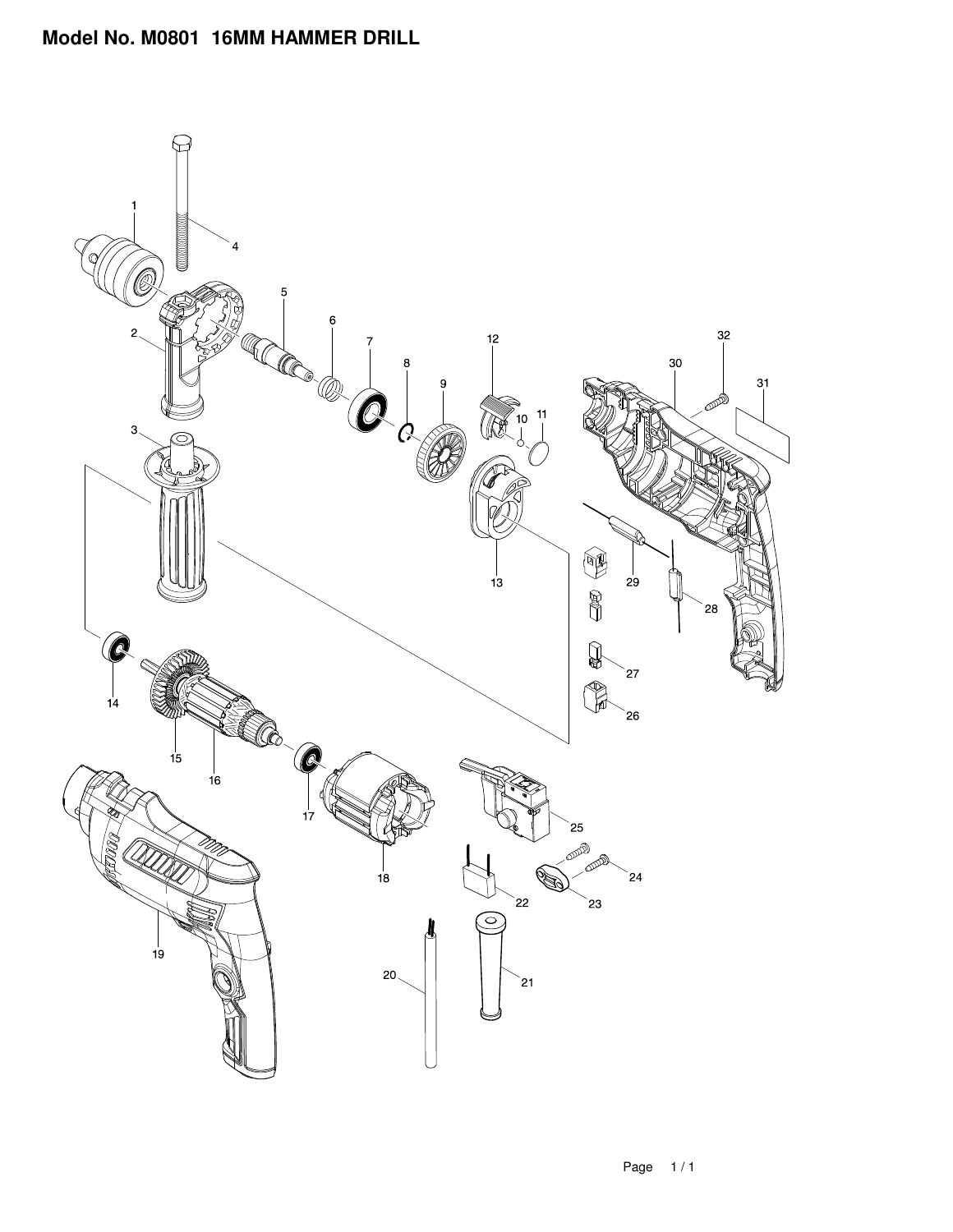## **Model No. M0801 16MM HAMMER DRILL**

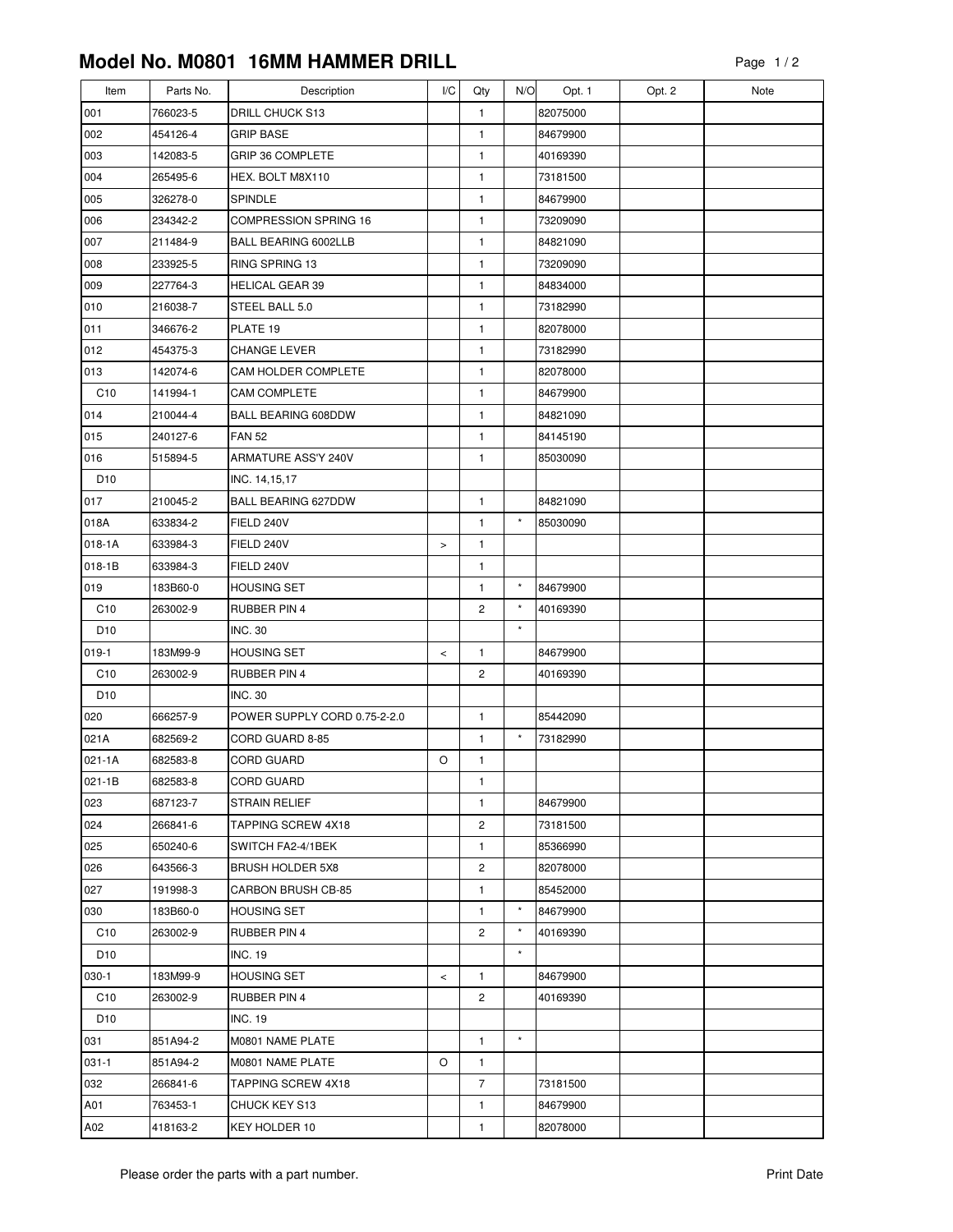## **Model No. M0801 16MM HAMMER DRILL**

| Item            | Parts No. | Description                  | I/C    | Qty            | N/O      | Opt. 1   | Opt. 2 | Note |
|-----------------|-----------|------------------------------|--------|----------------|----------|----------|--------|------|
| 001             | 766023-5  | DRILL CHUCK S13              |        | $\mathbf{1}$   |          | 82075000 |        |      |
| 002             | 454126-4  | <b>GRIP BASE</b>             |        | 1              |          | 84679900 |        |      |
| 003             | 142083-5  | GRIP 36 COMPLETE             |        | 1              |          | 40169390 |        |      |
| 004             | 265495-6  | HEX. BOLT M8X110             |        | 1              |          | 73181500 |        |      |
| 005             | 326278-0  | <b>SPINDLE</b>               |        | 1              |          | 84679900 |        |      |
| 006             | 234342-2  | <b>COMPRESSION SPRING 16</b> |        | 1              |          | 73209090 |        |      |
| 007             | 211484-9  | BALL BEARING 6002LLB         |        | 1              |          | 84821090 |        |      |
| 008             | 233925-5  | RING SPRING 13               |        | $\mathbf{1}$   |          | 73209090 |        |      |
| 009             | 227764-3  | <b>HELICAL GEAR 39</b>       |        | $\mathbf{1}$   |          | 84834000 |        |      |
| 010             | 216038-7  | STEEL BALL 5.0               |        | 1              |          | 73182990 |        |      |
| 011             | 346676-2  | PLATE 19                     |        | 1              |          | 82078000 |        |      |
| 012             | 454375-3  | CHANGE LEVER                 |        | 1              |          | 73182990 |        |      |
| 013             | 142074-6  | CAM HOLDER COMPLETE          |        | $\mathbf{1}$   |          | 82078000 |        |      |
| C10             | 141994-1  | <b>CAM COMPLETE</b>          |        | $\mathbf{1}$   |          | 84679900 |        |      |
| 014             | 210044-4  | <b>BALL BEARING 608DDW</b>   |        | 1              |          | 84821090 |        |      |
| 015             | 240127-6  | <b>FAN 52</b>                |        | $\mathbf{1}$   |          | 84145190 |        |      |
| 016             | 515894-5  | ARMATURE ASS'Y 240V          |        | $\mathbf{1}$   |          | 85030090 |        |      |
| D <sub>10</sub> |           | INC. 14,15,17                |        |                |          |          |        |      |
| 017             | 210045-2  | <b>BALL BEARING 627DDW</b>   |        | 1              |          | 84821090 |        |      |
| 018A            | 633834-2  | FIELD 240V                   |        | 1              | $\star$  | 85030090 |        |      |
| $018 - 1A$      | 633984-3  | FIELD 240V                   | $\, >$ | 1              |          |          |        |      |
| $018 - 1B$      | 633984-3  | FIELD 240V                   |        | 1              |          |          |        |      |
| 019             | 183B60-0  | <b>HOUSING SET</b>           |        | 1              | $\star$  | 84679900 |        |      |
| C10             | 263002-9  | <b>RUBBER PIN 4</b>          |        | $\overline{c}$ | $\star$  | 40169390 |        |      |
| D <sub>10</sub> |           | <b>INC. 30</b>               |        |                | $\star$  |          |        |      |
| $019-1$         | 183M99-9  | <b>HOUSING SET</b>           | $\,<$  | 1              |          | 84679900 |        |      |
| C10             | 263002-9  | <b>RUBBER PIN 4</b>          |        | 2              |          | 40169390 |        |      |
| D <sub>10</sub> |           | <b>INC. 30</b>               |        |                |          |          |        |      |
| 020             | 666257-9  | POWER SUPPLY CORD 0.75-2-2.0 |        | $\mathbf{1}$   |          | 85442090 |        |      |
| 021A            | 682569-2  | CORD GUARD 8-85              |        | $\mathbf{1}$   | $\star$  | 73182990 |        |      |
| 021-1A          | 682583-8  | CORD GUARD                   | O      | 1              |          |          |        |      |
| 021-1B          | 682583-8  | CORD GUARD                   |        | 1              |          |          |        |      |
| 023             | 687123-7  | <b>STRAIN RELIEF</b>         |        | $\mathbf{1}$   |          | 84679900 |        |      |
| 024             | 266841-6  | <b>TAPPING SCREW 4X18</b>    |        | 2              |          | 73181500 |        |      |
| 025             | 650240-6  | SWITCH FA2-4/1BEK            |        | 1              |          | 85366990 |        |      |
| 026             | 643566-3  | <b>BRUSH HOLDER 5X8</b>      |        | 2              |          | 82078000 |        |      |
| 027             | 191998-3  | <b>CARBON BRUSH CB-85</b>    |        | 1              |          | 85452000 |        |      |
| 030             | 183B60-0  | <b>HOUSING SET</b>           |        | 1              | $\star$  | 84679900 |        |      |
| C <sub>10</sub> | 263002-9  | RUBBER PIN 4                 |        | 2              | $^\star$ | 40169390 |        |      |
| D <sub>10</sub> |           | <b>INC. 19</b>               |        |                | $\star$  |          |        |      |
| 030-1           | 183M99-9  | <b>HOUSING SET</b>           | $\,<$  | 1              |          | 84679900 |        |      |
| C <sub>10</sub> | 263002-9  | RUBBER PIN 4                 |        | $\overline{c}$ |          | 40169390 |        |      |
| D <sub>10</sub> |           | <b>INC. 19</b>               |        |                |          |          |        |      |
| 031             | 851A94-2  | M0801 NAME PLATE             |        | 1              | $\star$  |          |        |      |
| $031 - 1$       | 851A94-2  | M0801 NAME PLATE             | O      | 1              |          |          |        |      |
| 032             | 266841-6  | TAPPING SCREW 4X18           |        | 7              |          | 73181500 |        |      |
| A01             | 763453-1  | CHUCK KEY S13                |        | 1              |          | 84679900 |        |      |
| A02             | 418163-2  | KEY HOLDER 10                |        | 1              |          | 82078000 |        |      |